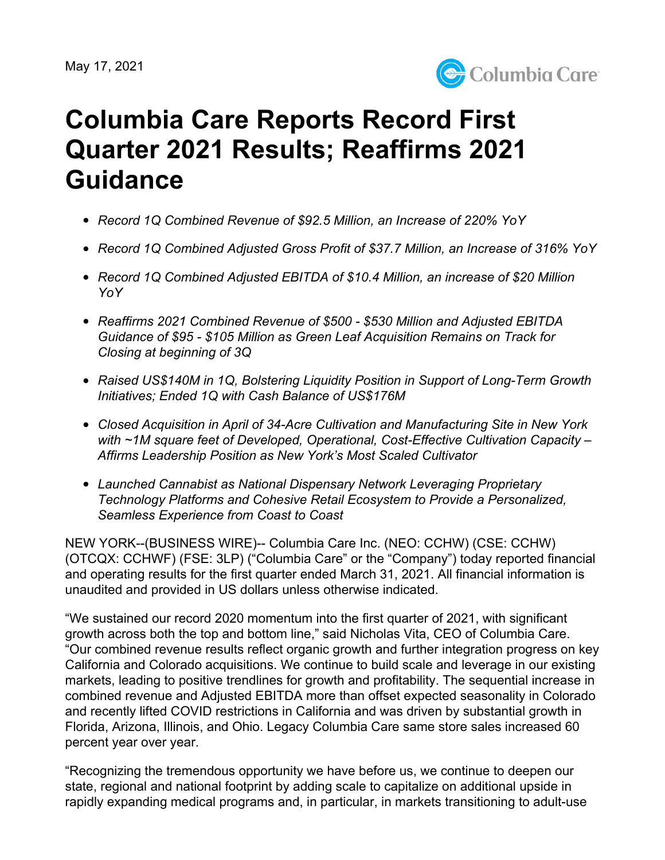

# **Columbia Care Reports Record First Quarter 2021 Results; Reaffirms 2021 Guidance**

- *Record 1Q Combined Revenue of \$92.5 Million, an Increase of 220% YoY*
- *Record 1Q Combined Adjusted Gross Profit of \$37.7 Million, an Increase of 316% YoY*
- *Record 1Q Combined Adjusted EBITDA of \$10.4 Million, an increase of \$20 Million YoY*
- *Reaffirms 2021 Combined Revenue of \$500 - \$530 Million and Adjusted EBITDA Guidance of \$95 - \$105 Million as Green Leaf Acquisition Remains on Track for Closing at beginning of 3Q*
- *Raised US\$140M in 1Q, Bolstering Liquidity Position in Support of Long-Term Growth Initiatives; Ended 1Q with Cash Balance of US\$176M*
- *Closed Acquisition in April of 34-Acre Cultivation and Manufacturing Site in New York with ~1M square feet of Developed, Operational, Cost-Effective Cultivation Capacity – Affirms Leadership Position as New York's Most Scaled Cultivator*
- *Launched Cannabist as National Dispensary Network Leveraging Proprietary Technology Platforms and Cohesive Retail Ecosystem to Provide a Personalized, Seamless Experience from Coast to Coast*

NEW YORK--(BUSINESS WIRE)-- Columbia Care Inc. (NEO: CCHW) (CSE: CCHW) (OTCQX: CCHWF) (FSE: 3LP) ("Columbia Care" or the "Company") today reported financial and operating results for the first quarter ended March 31, 2021. All financial information is unaudited and provided in US dollars unless otherwise indicated.

"We sustained our record 2020 momentum into the first quarter of 2021, with significant growth across both the top and bottom line," said Nicholas Vita, CEO of Columbia Care. "Our combined revenue results reflect organic growth and further integration progress on key California and Colorado acquisitions. We continue to build scale and leverage in our existing markets, leading to positive trendlines for growth and profitability. The sequential increase in combined revenue and Adjusted EBITDA more than offset expected seasonality in Colorado and recently lifted COVID restrictions in California and was driven by substantial growth in Florida, Arizona, Illinois, and Ohio. Legacy Columbia Care same store sales increased 60 percent year over year.

"Recognizing the tremendous opportunity we have before us, we continue to deepen our state, regional and national footprint by adding scale to capitalize on additional upside in rapidly expanding medical programs and, in particular, in markets transitioning to adult-use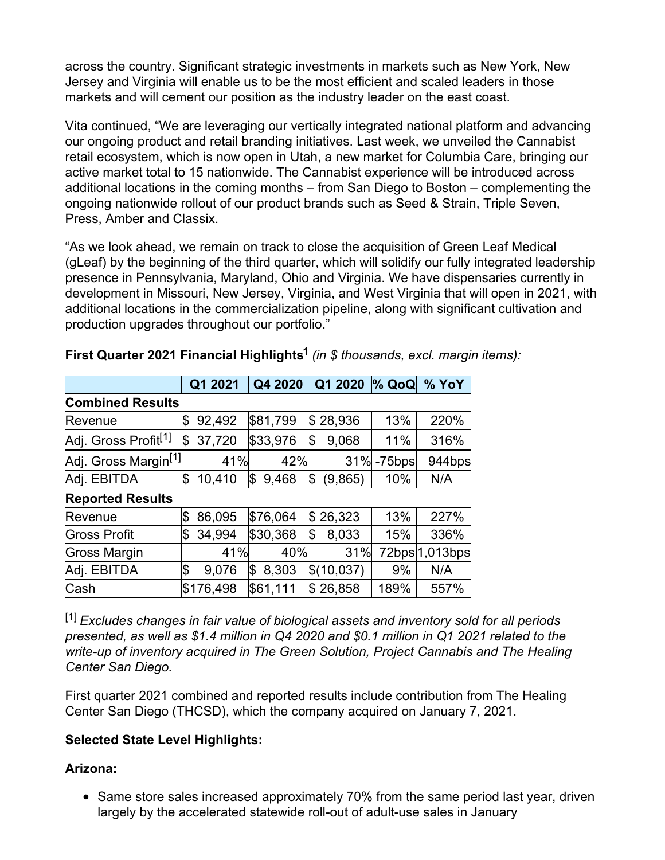across the country. Significant strategic investments in markets such as New York, New Jersey and Virginia will enable us to be the most efficient and scaled leaders in those markets and will cement our position as the industry leader on the east coast.

Vita continued, "We are leveraging our vertically integrated national platform and advancing our ongoing product and retail branding initiatives. Last week, we unveiled the Cannabist retail ecosystem, which is now open in Utah, a new market for Columbia Care, bringing our active market total to 15 nationwide. The Cannabist experience will be introduced across additional locations in the coming months – from San Diego to Boston – complementing the ongoing nationwide rollout of our product brands such as Seed & Strain, Triple Seven, Press, Amber and Classix.

"As we look ahead, we remain on track to close the acquisition of Green Leaf Medical (gLeaf) by the beginning of the third quarter, which will solidify our fully integrated leadership presence in Pennsylvania, Maryland, Ohio and Virginia. We have dispensaries currently in development in Missouri, New Jersey, Virginia, and West Virginia that will open in 2021, with additional locations in the commercialization pipeline, along with significant cultivation and production upgrades throughout our portfolio."

|                                  |    | Q1 2021   |     | Q4 2020  |    | Q1 2020     |             | $%$ QoQ $\mid$ % YoY |
|----------------------------------|----|-----------|-----|----------|----|-------------|-------------|----------------------|
| <b>Combined Results</b>          |    |           |     |          |    |             |             |                      |
| Revenue                          | \$ | 92,492    |     | \$81,799 | \$ | 28,936      | 13%         | 220%                 |
| Adj. Gross Profit <sup>[1]</sup> | ß  | 37,720    |     | \$33,976 | S  | 9,068       | 11%         | 316%                 |
| Adj. Gross Margin <sup>[1]</sup> |    | 41%       |     | 42%      |    |             | 31% - 75bps | 944bps               |
| Adj. EBITDA                      | \$ | 10,410    | 1\$ | 9,468    | S  | (9,865)     | 10%         | N/A                  |
| <b>Reported Results</b>          |    |           |     |          |    |             |             |                      |
| Revenue                          | \$ | 86,095    |     | \$76,064 |    | \$26,323    | 13%         | 227%                 |
| <b>Gross Profit</b>              | \$ | 34,994    |     | \$30,368 | S  | 8,033       | 15%         | 336%                 |
| Gross Margin                     |    | 41%       |     | 40%      |    | 31%         |             | 72bps 1,013bps       |
| Adj. EBITDA                      | \$ | 9,076     | ß   | 8,303    |    | \$(10, 037) | 9%          | N/A                  |
| Cash                             |    | \$176,498 |     | \$61,111 | ß  | 26,858      | 189%        | 557%                 |

**First Quarter 2021 Financial Highlights 1** *(in \$ thousands, excl. margin items):*

[1] *Excludes changes in fair value of biological assets and inventory sold for all periods presented, as well as \$1.4 million in Q4 2020 and \$0.1 million in Q1 2021 related to the write-up of inventory acquired in The Green Solution, Project Cannabis and The Healing Center San Diego.*

First quarter 2021 combined and reported results include contribution from The Healing Center San Diego (THCSD), which the company acquired on January 7, 2021.

## **Selected State Level Highlights:**

#### **Arizona:**

• Same store sales increased approximately 70% from the same period last year, driven largely by the accelerated statewide roll-out of adult-use sales in January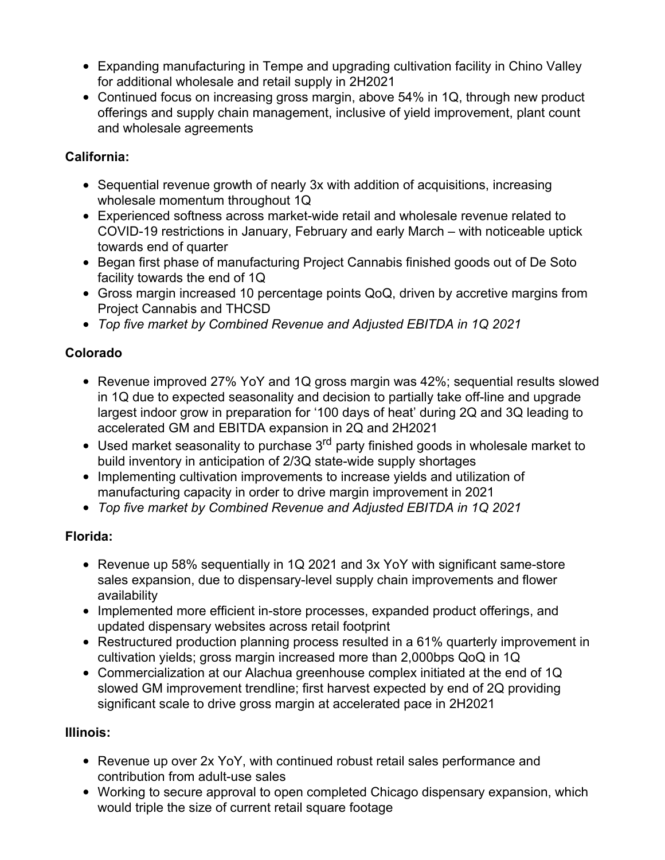- Expanding manufacturing in Tempe and upgrading cultivation facility in Chino Valley for additional wholesale and retail supply in 2H2021
- Continued focus on increasing gross margin, above 54% in 1Q, through new product offerings and supply chain management, inclusive of yield improvement, plant count and wholesale agreements

## **California:**

- Sequential revenue growth of nearly 3x with addition of acquisitions, increasing wholesale momentum throughout 1Q
- Experienced softness across market-wide retail and wholesale revenue related to COVID-19 restrictions in January, February and early March – with noticeable uptick towards end of quarter
- Began first phase of manufacturing Project Cannabis finished goods out of De Soto facility towards the end of 1Q
- Gross margin increased 10 percentage points QoQ, driven by accretive margins from Project Cannabis and THCSD
- *Top five market by Combined Revenue and Adjusted EBITDA in 1Q 2021*

# **Colorado**

- Revenue improved 27% YoY and 1Q gross margin was 42%; sequential results slowed in 1Q due to expected seasonality and decision to partially take off-line and upgrade largest indoor grow in preparation for '100 days of heat' during 2Q and 3Q leading to accelerated GM and EBITDA expansion in 2Q and 2H2021
- Used market seasonality to purchase 3<sup>rd</sup> party finished goods in wholesale market to build inventory in anticipation of 2/3Q state-wide supply shortages
- Implementing cultivation improvements to increase yields and utilization of manufacturing capacity in order to drive margin improvement in 2021
- *Top five market by Combined Revenue and Adjusted EBITDA in 1Q 2021*

# **Florida:**

- Revenue up 58% sequentially in 1Q 2021 and 3x YoY with significant same-store sales expansion, due to dispensary-level supply chain improvements and flower availability
- Implemented more efficient in-store processes, expanded product offerings, and updated dispensary websites across retail footprint
- Restructured production planning process resulted in a 61% quarterly improvement in cultivation yields; gross margin increased more than 2,000bps QoQ in 1Q
- Commercialization at our Alachua greenhouse complex initiated at the end of 1Q slowed GM improvement trendline; first harvest expected by end of 2Q providing significant scale to drive gross margin at accelerated pace in 2H2021

## **Illinois:**

- Revenue up over 2x YoY, with continued robust retail sales performance and contribution from adult-use sales
- Working to secure approval to open completed Chicago dispensary expansion, which would triple the size of current retail square footage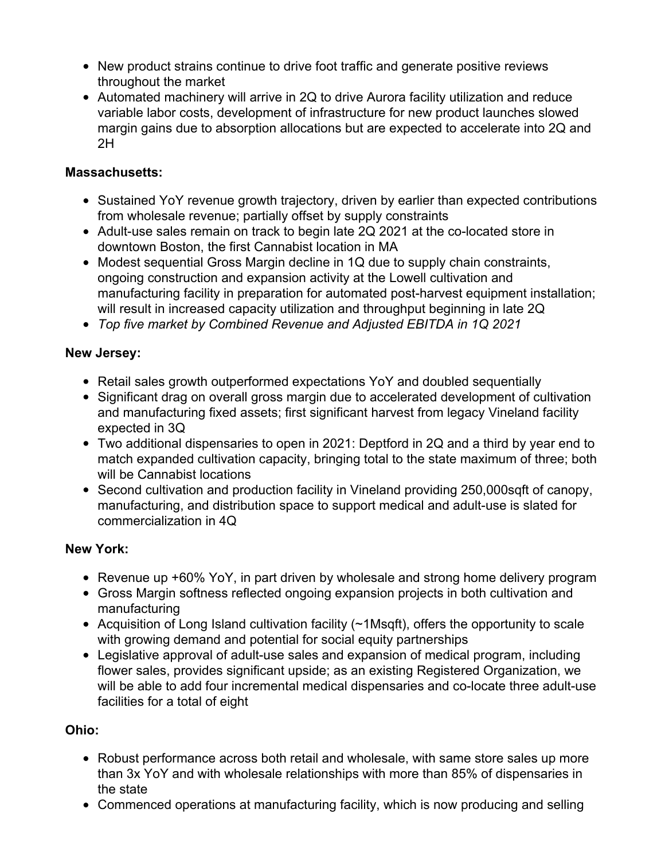- New product strains continue to drive foot traffic and generate positive reviews throughout the market
- Automated machinery will arrive in 2Q to drive Aurora facility utilization and reduce variable labor costs, development of infrastructure for new product launches slowed margin gains due to absorption allocations but are expected to accelerate into 2Q and 2H

## **Massachusetts:**

- Sustained YoY revenue growth trajectory, driven by earlier than expected contributions from wholesale revenue; partially offset by supply constraints
- Adult-use sales remain on track to begin late 2Q 2021 at the co-located store in downtown Boston, the first Cannabist location in MA
- Modest sequential Gross Margin decline in 1Q due to supply chain constraints, ongoing construction and expansion activity at the Lowell cultivation and manufacturing facility in preparation for automated post-harvest equipment installation; will result in increased capacity utilization and throughput beginning in late 2Q
- *Top five market by Combined Revenue and Adjusted EBITDA in 1Q 2021*

## **New Jersey:**

- Retail sales growth outperformed expectations YoY and doubled sequentially
- Significant drag on overall gross margin due to accelerated development of cultivation and manufacturing fixed assets; first significant harvest from legacy Vineland facility expected in 3Q
- Two additional dispensaries to open in 2021: Deptford in 2Q and a third by year end to match expanded cultivation capacity, bringing total to the state maximum of three; both will be Cannabist locations
- Second cultivation and production facility in Vineland providing 250,000sqft of canopy, manufacturing, and distribution space to support medical and adult-use is slated for commercialization in 4Q

## **New York:**

- Revenue up +60% YoY, in part driven by wholesale and strong home delivery program
- Gross Margin softness reflected ongoing expansion projects in both cultivation and manufacturing
- Acquisition of Long Island cultivation facility (~1Msqft), offers the opportunity to scale with growing demand and potential for social equity partnerships
- Legislative approval of adult-use sales and expansion of medical program, including flower sales, provides significant upside; as an existing Registered Organization, we will be able to add four incremental medical dispensaries and co-locate three adult-use facilities for a total of eight

## **Ohio:**

- Robust performance across both retail and wholesale, with same store sales up more than 3x YoY and with wholesale relationships with more than 85% of dispensaries in the state
- Commenced operations at manufacturing facility, which is now producing and selling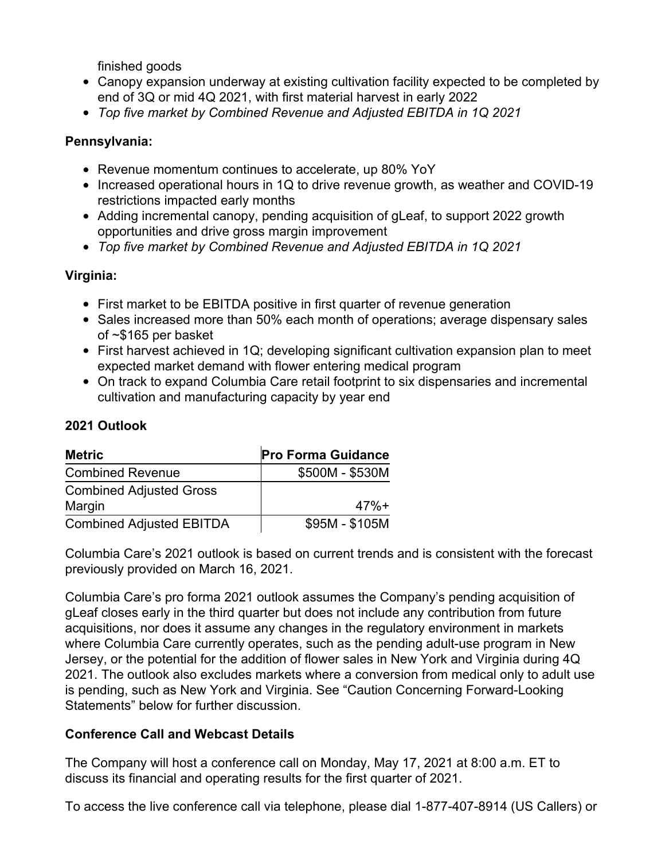finished goods

- Canopy expansion underway at existing cultivation facility expected to be completed by end of 3Q or mid 4Q 2021, with first material harvest in early 2022
- *Top five market by Combined Revenue and Adjusted EBITDA in 1Q 2021*

#### **Pennsylvania:**

- Revenue momentum continues to accelerate, up 80% YoY
- Increased operational hours in 1Q to drive revenue growth, as weather and COVID-19 restrictions impacted early months
- Adding incremental canopy, pending acquisition of gLeaf, to support 2022 growth opportunities and drive gross margin improvement
- *Top five market by Combined Revenue and Adjusted EBITDA in 1Q 2021*

#### **Virginia:**

- First market to be EBITDA positive in first quarter of revenue generation
- Sales increased more than 50% each month of operations; average dispensary sales of ~\$165 per basket
- First harvest achieved in 1Q; developing significant cultivation expansion plan to meet expected market demand with flower entering medical program
- On track to expand Columbia Care retail footprint to six dispensaries and incremental cultivation and manufacturing capacity by year end

## **2021 Outlook**

| <b>Metric</b>                   | <b>Pro Forma Guidance</b> |
|---------------------------------|---------------------------|
| <b>Combined Revenue</b>         | \$500M - \$530M           |
| <b>Combined Adjusted Gross</b>  |                           |
| Margin                          | $47%+$                    |
| <b>Combined Adjusted EBITDA</b> | \$95M - \$105M            |

Columbia Care's 2021 outlook is based on current trends and is consistent with the forecast previously provided on March 16, 2021.

Columbia Care's pro forma 2021 outlook assumes the Company's pending acquisition of gLeaf closes early in the third quarter but does not include any contribution from future acquisitions, nor does it assume any changes in the regulatory environment in markets where Columbia Care currently operates, such as the pending adult-use program in New Jersey, or the potential for the addition of flower sales in New York and Virginia during 4Q 2021. The outlook also excludes markets where a conversion from medical only to adult use is pending, such as New York and Virginia. See "Caution Concerning Forward-Looking Statements" below for further discussion.

#### **Conference Call and Webcast Details**

The Company will host a conference call on Monday, May 17, 2021 at 8:00 a.m. ET to discuss its financial and operating results for the first quarter of 2021.

To access the live conference call via telephone, please dial 1-877-407-8914 (US Callers) or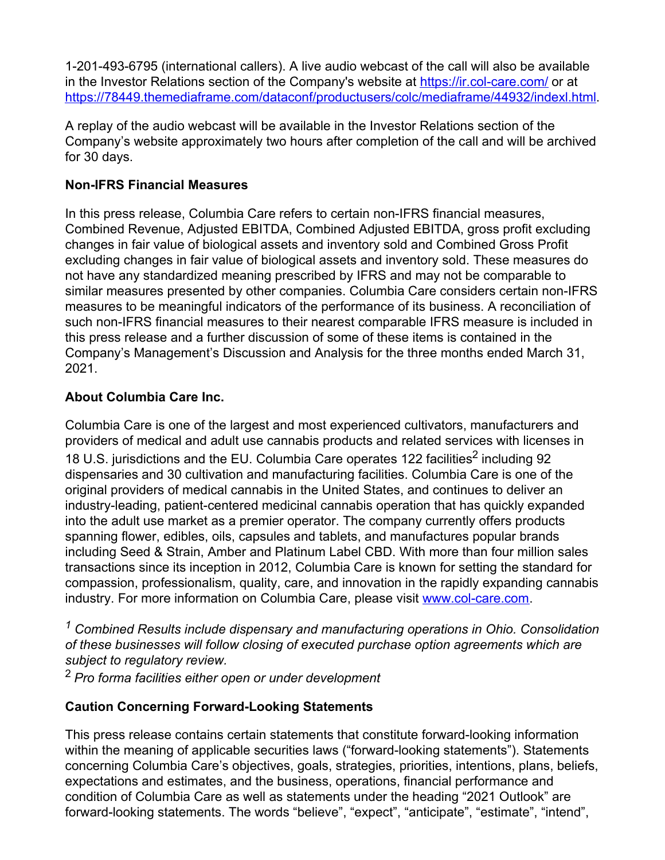1-201-493-6795 (international callers). A live audio webcast of the call will also be available in the Investor Relations section of the Company's website at <https://ir.col-care.com/> or at <https://78449.themediaframe.com/dataconf/productusers/colc/mediaframe/44932/indexl.html>.

A replay of the audio webcast will be available in the Investor Relations section of the Company's website approximately two hours after completion of the call and will be archived for 30 days.

#### **Non-IFRS Financial Measures**

In this press release, Columbia Care refers to certain non-IFRS financial measures, Combined Revenue, Adjusted EBITDA, Combined Adjusted EBITDA, gross profit excluding changes in fair value of biological assets and inventory sold and Combined Gross Profit excluding changes in fair value of biological assets and inventory sold. These measures do not have any standardized meaning prescribed by IFRS and may not be comparable to similar measures presented by other companies. Columbia Care considers certain non-IFRS measures to be meaningful indicators of the performance of its business. A reconciliation of such non-IFRS financial measures to their nearest comparable IFRS measure is included in this press release and a further discussion of some of these items is contained in the Company's Management's Discussion and Analysis for the three months ended March 31, 2021.

#### **About Columbia Care Inc.**

Columbia Care is one of the largest and most experienced cultivators, manufacturers and providers of medical and adult use cannabis products and related services with licenses in 18 U.S. jurisdictions and the EU. Columbia Care operates 122 facilities<sup>2</sup> including 92 dispensaries and 30 cultivation and manufacturing facilities. Columbia Care is one of the original providers of medical cannabis in the United States, and continues to deliver an industry-leading, patient-centered medicinal cannabis operation that has quickly expanded into the adult use market as a premier operator. The company currently offers products spanning flower, edibles, oils, capsules and tablets, and manufactures popular brands including Seed & Strain, Amber and Platinum Label CBD. With more than four million sales transactions since its inception in 2012, Columbia Care is known for setting the standard for compassion, professionalism, quality, care, and innovation in the rapidly expanding cannabis industry. For more information on Columbia Care, please visit [www.col-care.com.](http://www.col-care.com)

*<sup>1</sup> Combined Results include dispensary and manufacturing operations in Ohio. Consolidation of these businesses will follow closing of executed purchase option agreements which are subject to regulatory review.*

<sup>2</sup> *Pro forma facilities either open or under development*

#### **Caution Concerning Forward-Looking Statements**

This press release contains certain statements that constitute forward-looking information within the meaning of applicable securities laws ("forward-looking statements"). Statements concerning Columbia Care's objectives, goals, strategies, priorities, intentions, plans, beliefs, expectations and estimates, and the business, operations, financial performance and condition of Columbia Care as well as statements under the heading "2021 Outlook" are forward-looking statements. The words "believe", "expect", "anticipate", "estimate", "intend",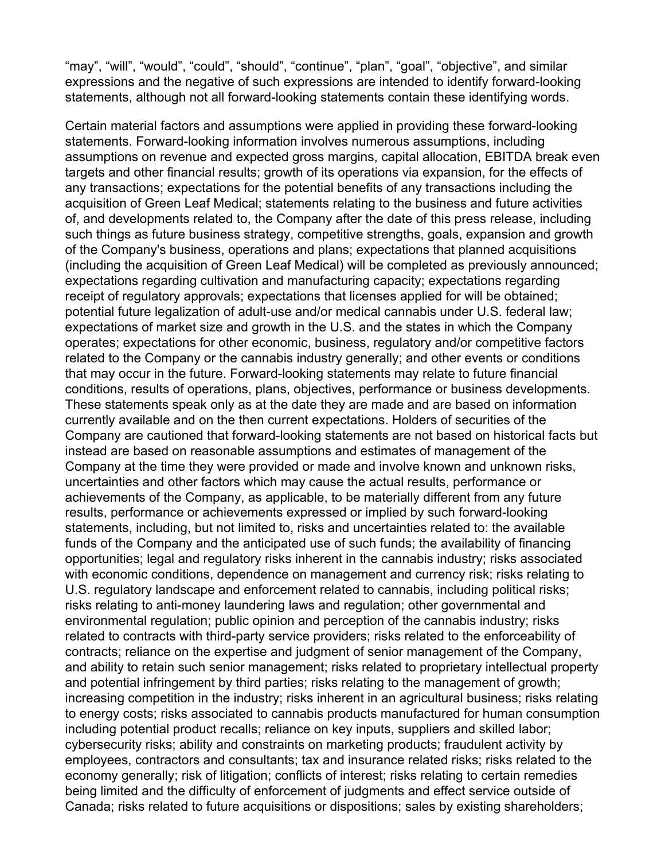"may", "will", "would", "could", "should", "continue", "plan", "goal", "objective", and similar expressions and the negative of such expressions are intended to identify forward-looking statements, although not all forward-looking statements contain these identifying words.

Certain material factors and assumptions were applied in providing these forward-looking statements. Forward-looking information involves numerous assumptions, including assumptions on revenue and expected gross margins, capital allocation, EBITDA break even targets and other financial results; growth of its operations via expansion, for the effects of any transactions; expectations for the potential benefits of any transactions including the acquisition of Green Leaf Medical; statements relating to the business and future activities of, and developments related to, the Company after the date of this press release, including such things as future business strategy, competitive strengths, goals, expansion and growth of the Company's business, operations and plans; expectations that planned acquisitions (including the acquisition of Green Leaf Medical) will be completed as previously announced; expectations regarding cultivation and manufacturing capacity; expectations regarding receipt of regulatory approvals; expectations that licenses applied for will be obtained; potential future legalization of adult-use and/or medical cannabis under U.S. federal law; expectations of market size and growth in the U.S. and the states in which the Company operates; expectations for other economic, business, regulatory and/or competitive factors related to the Company or the cannabis industry generally; and other events or conditions that may occur in the future. Forward-looking statements may relate to future financial conditions, results of operations, plans, objectives, performance or business developments. These statements speak only as at the date they are made and are based on information currently available and on the then current expectations. Holders of securities of the Company are cautioned that forward-looking statements are not based on historical facts but instead are based on reasonable assumptions and estimates of management of the Company at the time they were provided or made and involve known and unknown risks, uncertainties and other factors which may cause the actual results, performance or achievements of the Company, as applicable, to be materially different from any future results, performance or achievements expressed or implied by such forward-looking statements, including, but not limited to, risks and uncertainties related to: the available funds of the Company and the anticipated use of such funds; the availability of financing opportunities; legal and regulatory risks inherent in the cannabis industry; risks associated with economic conditions, dependence on management and currency risk; risks relating to U.S. regulatory landscape and enforcement related to cannabis, including political risks; risks relating to anti-money laundering laws and regulation; other governmental and environmental regulation; public opinion and perception of the cannabis industry; risks related to contracts with third-party service providers; risks related to the enforceability of contracts; reliance on the expertise and judgment of senior management of the Company, and ability to retain such senior management; risks related to proprietary intellectual property and potential infringement by third parties; risks relating to the management of growth; increasing competition in the industry; risks inherent in an agricultural business; risks relating to energy costs; risks associated to cannabis products manufactured for human consumption including potential product recalls; reliance on key inputs, suppliers and skilled labor; cybersecurity risks; ability and constraints on marketing products; fraudulent activity by employees, contractors and consultants; tax and insurance related risks; risks related to the economy generally; risk of litigation; conflicts of interest; risks relating to certain remedies being limited and the difficulty of enforcement of judgments and effect service outside of Canada; risks related to future acquisitions or dispositions; sales by existing shareholders;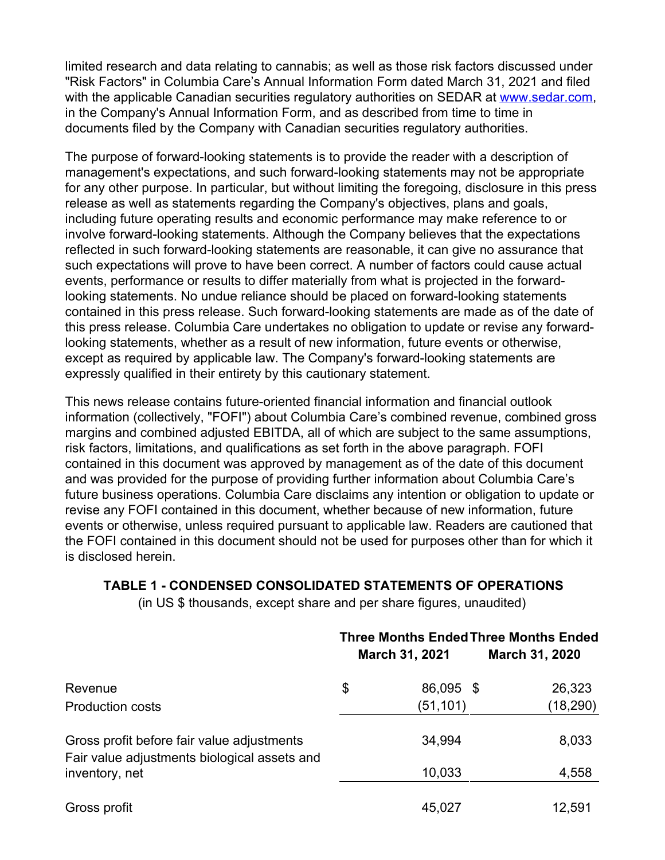limited research and data relating to cannabis; as well as those risk factors discussed under "Risk Factors" in Columbia Care's Annual Information Form dated March 31, 2021 and filed with the applicable Canadian securities regulatory authorities on SEDAR at [www.sedar.com](http://www.sedar.com), in the Company's Annual Information Form, and as described from time to time in documents filed by the Company with Canadian securities regulatory authorities.

The purpose of forward-looking statements is to provide the reader with a description of management's expectations, and such forward-looking statements may not be appropriate for any other purpose. In particular, but without limiting the foregoing, disclosure in this press release as well as statements regarding the Company's objectives, plans and goals, including future operating results and economic performance may make reference to or involve forward-looking statements. Although the Company believes that the expectations reflected in such forward-looking statements are reasonable, it can give no assurance that such expectations will prove to have been correct. A number of factors could cause actual events, performance or results to differ materially from what is projected in the forwardlooking statements. No undue reliance should be placed on forward-looking statements contained in this press release. Such forward-looking statements are made as of the date of this press release. Columbia Care undertakes no obligation to update or revise any forwardlooking statements, whether as a result of new information, future events or otherwise, except as required by applicable law. The Company's forward-looking statements are expressly qualified in their entirety by this cautionary statement.

This news release contains future-oriented financial information and financial outlook information (collectively, "FOFI") about Columbia Care's combined revenue, combined gross margins and combined adjusted EBITDA, all of which are subject to the same assumptions, risk factors, limitations, and qualifications as set forth in the above paragraph. FOFI contained in this document was approved by management as of the date of this document and was provided for the purpose of providing further information about Columbia Care's future business operations. Columbia Care disclaims any intention or obligation to update or revise any FOFI contained in this document, whether because of new information, future events or otherwise, unless required pursuant to applicable law. Readers are cautioned that the FOFI contained in this document should not be used for purposes other than for which it is disclosed herein.

#### **TABLE 1 - CONDENSED CONSOLIDATED STATEMENTS OF OPERATIONS**

(in US \$ thousands, except share and per share figures, unaudited)

|                                                                                            | March 31, 2021 | <b>Three Months Ended Three Months Ended</b><br>March 31, 2020 |          |
|--------------------------------------------------------------------------------------------|----------------|----------------------------------------------------------------|----------|
| Revenue                                                                                    | \$             | 86,095 \$                                                      | 26,323   |
| <b>Production costs</b>                                                                    |                | (51, 101)                                                      | (18,290) |
| Gross profit before fair value adjustments<br>Fair value adjustments biological assets and |                | 34,994                                                         | 8,033    |
| inventory, net                                                                             |                | 10,033                                                         | 4,558    |
| Gross profit                                                                               |                | 45,027                                                         | 12,591   |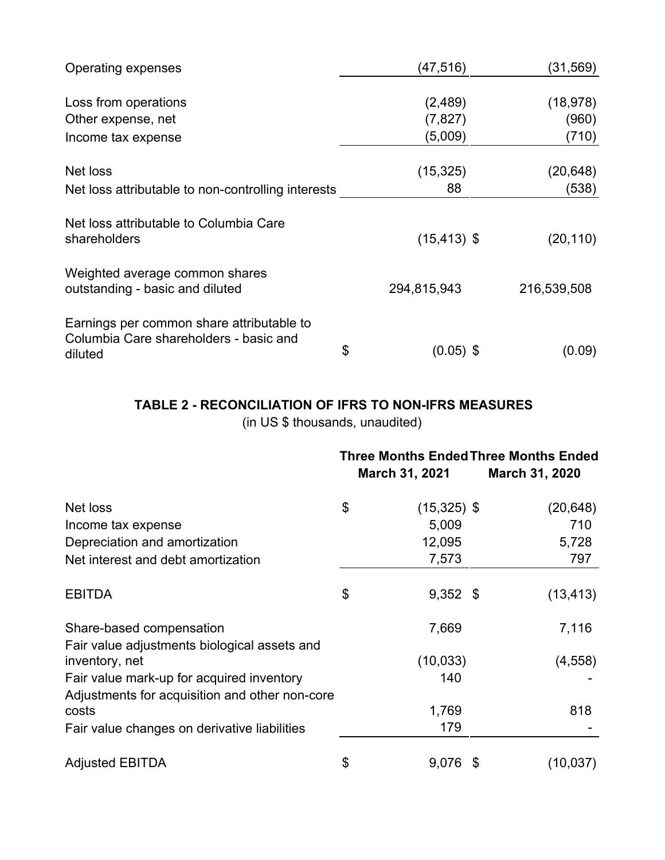| Operating expenses                                                                             | (47, 516)         | (31, 569)   |
|------------------------------------------------------------------------------------------------|-------------------|-------------|
| Loss from operations                                                                           | (2,489)           | (18, 978)   |
| Other expense, net                                                                             | (7, 827)          | (960)       |
| Income tax expense                                                                             | (5,009)           | (710)       |
| Net loss                                                                                       | (15, 325)         | (20, 648)   |
| Net loss attributable to non-controlling interests                                             | 88                | (538)       |
| Net loss attributable to Columbia Care<br>shareholders                                         | $(15, 413)$ \$    | (20, 110)   |
| Weighted average common shares<br>outstanding - basic and diluted                              | 294,815,943       | 216,539,508 |
| Earnings per common share attributable to<br>Columbia Care shareholders - basic and<br>diluted | \$<br>$(0.05)$ \$ | (0.09)      |

# **TABLE 2 - RECONCILIATION OF IFRS TO NON-IFRS MEASURES**

(in US \$ thousands, unaudited)

|                                                                                             | <b>Three Months Ended Three Months Ended</b><br><b>March 31, 2021</b> |               | March 31, 2020 |
|---------------------------------------------------------------------------------------------|-----------------------------------------------------------------------|---------------|----------------|
| Net loss                                                                                    | \$                                                                    | $(15,325)$ \$ | (20, 648)      |
| Income tax expense                                                                          |                                                                       | 5,009         | 710            |
| Depreciation and amortization                                                               |                                                                       | 12,095        | 5,728          |
| Net interest and debt amortization                                                          |                                                                       | 7,573         | 797            |
| <b>EBITDA</b>                                                                               | \$                                                                    | $9,352$ \$    | (13, 413)      |
| Share-based compensation<br>Fair value adjustments biological assets and                    |                                                                       | 7,669         | 7,116          |
| inventory, net                                                                              |                                                                       | (10, 033)     | (4, 558)       |
| Fair value mark-up for acquired inventory<br>Adjustments for acquisition and other non-core |                                                                       | 140           |                |
| costs                                                                                       |                                                                       | 1,769         | 818            |
| Fair value changes on derivative liabilities                                                |                                                                       | 179           |                |
| <b>Adjusted EBITDA</b>                                                                      | \$                                                                    | $9,076$ \$    | (10, 037)      |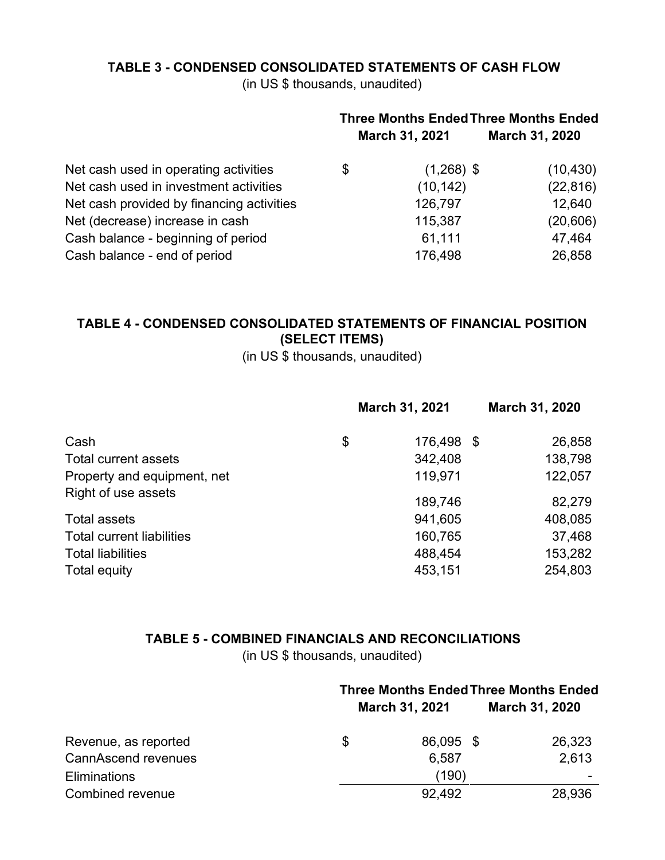#### **TABLE 3 - CONDENSED CONSOLIDATED STATEMENTS OF CASH FLOW**

(in US \$ thousands, unaudited)

|                                           | <b>Three Months Ended Three Months Ended</b> |                |                |  |
|-------------------------------------------|----------------------------------------------|----------------|----------------|--|
|                                           |                                              | March 31, 2021 | March 31, 2020 |  |
| Net cash used in operating activities     | \$                                           | $(1,268)$ \$   | (10, 430)      |  |
| Net cash used in investment activities    |                                              | (10, 142)      | (22, 816)      |  |
| Net cash provided by financing activities |                                              | 126,797        | 12,640         |  |
| Net (decrease) increase in cash           |                                              | 115,387        | (20, 606)      |  |
| Cash balance - beginning of period        |                                              | 61,111         | 47,464         |  |
| Cash balance - end of period              |                                              | 176,498        | 26,858         |  |

## **TABLE 4 - CONDENSED CONSOLIDATED STATEMENTS OF FINANCIAL POSITION (SELECT ITEMS)**

(in US \$ thousands, unaudited)

|                                  | March 31, 2021   | March 31, 2020 |
|----------------------------------|------------------|----------------|
| Cash                             | \$<br>176,498 \$ | 26,858         |
| Total current assets             | 342,408          | 138,798        |
| Property and equipment, net      | 119,971          | 122,057        |
| Right of use assets              | 189,746          | 82,279         |
| <b>Total assets</b>              | 941,605          | 408,085        |
| <b>Total current liabilities</b> | 160,765          | 37,468         |
| <b>Total liabilities</b>         | 488,454          | 153,282        |
| Total equity                     | 453,151          | 254,803        |
|                                  |                  |                |

#### **TABLE 5 - COMBINED FINANCIALS AND RECONCILIATIONS**

(in US \$ thousands, unaudited)

|                      | <b>Three Months Ended Three Months Ended</b> |                |  |  |
|----------------------|----------------------------------------------|----------------|--|--|
|                      | March 31, 2021                               | March 31, 2020 |  |  |
| Revenue, as reported | 86,095 \$<br>\$                              | 26,323         |  |  |
| CannAscend revenues  | 6,587                                        | 2,613          |  |  |
| Eliminations         | (190)                                        |                |  |  |
| Combined revenue     | 92,492                                       | 28,936         |  |  |